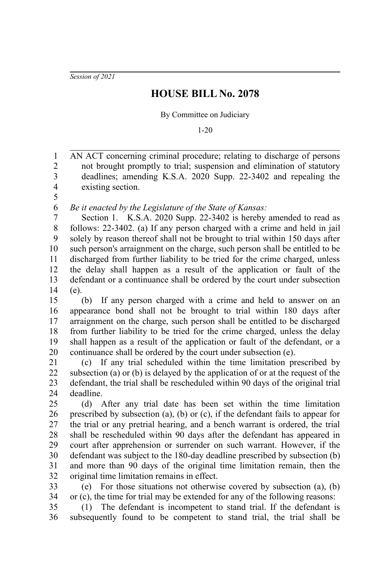*Session of 2021*

## **HOUSE BILL No. 2078**

By Committee on Judiciary

1-20

AN ACT concerning criminal procedure; relating to discharge of persons not brought promptly to trial; suspension and elimination of statutory deadlines; amending K.S.A. 2020 Supp. 22-3402 and repealing the existing section. 1 2 3 4

5

*Be it enacted by the Legislature of the State of Kansas:* 6

Section 1. K.S.A. 2020 Supp. 22-3402 is hereby amended to read as follows: 22-3402. (a) If any person charged with a crime and held in jail solely by reason thereof shall not be brought to trial within 150 days after such person's arraignment on the charge, such person shall be entitled to be discharged from further liability to be tried for the crime charged, unless the delay shall happen as a result of the application or fault of the defendant or a continuance shall be ordered by the court under subsection (e). 7 8 9 10 11 12 13 14

(b) If any person charged with a crime and held to answer on an appearance bond shall not be brought to trial within 180 days after arraignment on the charge, such person shall be entitled to be discharged from further liability to be tried for the crime charged, unless the delay shall happen as a result of the application or fault of the defendant, or a continuance shall be ordered by the court under subsection (e). 15 16 17 18 19 20

(c) If any trial scheduled within the time limitation prescribed by subsection (a) or (b) is delayed by the application of or at the request of the defendant, the trial shall be rescheduled within 90 days of the original trial deadline. 21 22 23  $24$ 

(d) After any trial date has been set within the time limitation prescribed by subsection (a), (b) or (c), if the defendant fails to appear for the trial or any pretrial hearing, and a bench warrant is ordered, the trial shall be rescheduled within 90 days after the defendant has appeared in court after apprehension or surrender on such warrant. However, if the defendant was subject to the 180-day deadline prescribed by subsection (b) and more than 90 days of the original time limitation remain, then the original time limitation remains in effect. 25 26 27 28 29 30 31 32

(e) For those situations not otherwise covered by subsection (a), (b) or (c), the time for trial may be extended for any of the following reasons: 33 34

(1) The defendant is incompetent to stand trial. If the defendant is subsequently found to be competent to stand trial, the trial shall be 35 36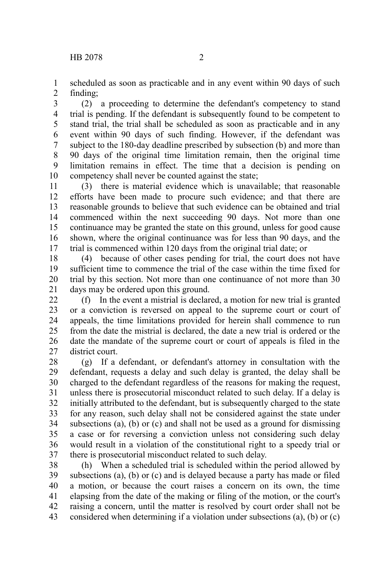scheduled as soon as practicable and in any event within 90 days of such finding; 1 2

(2) a proceeding to determine the defendant's competency to stand trial is pending. If the defendant is subsequently found to be competent to stand trial, the trial shall be scheduled as soon as practicable and in any event within 90 days of such finding. However, if the defendant was subject to the 180-day deadline prescribed by subsection (b) and more than 90 days of the original time limitation remain, then the original time limitation remains in effect. The time that a decision is pending on competency shall never be counted against the state; 3 4 5 6 7 8 9 10

(3) there is material evidence which is unavailable; that reasonable efforts have been made to procure such evidence; and that there are reasonable grounds to believe that such evidence can be obtained and trial commenced within the next succeeding 90 days. Not more than one continuance may be granted the state on this ground, unless for good cause shown, where the original continuance was for less than 90 days, and the trial is commenced within 120 days from the original trial date; or 11 12 13 14 15 16 17

(4) because of other cases pending for trial, the court does not have sufficient time to commence the trial of the case within the time fixed for trial by this section. Not more than one continuance of not more than 30 days may be ordered upon this ground. 18 19 20 21

(f) In the event a mistrial is declared, a motion for new trial is granted or a conviction is reversed on appeal to the supreme court or court of appeals, the time limitations provided for herein shall commence to run from the date the mistrial is declared, the date a new trial is ordered or the date the mandate of the supreme court or court of appeals is filed in the district court. 22 23 24 25 26 27

(g) If a defendant, or defendant's attorney in consultation with the defendant, requests a delay and such delay is granted, the delay shall be charged to the defendant regardless of the reasons for making the request, unless there is prosecutorial misconduct related to such delay. If a delay is initially attributed to the defendant, but is subsequently charged to the state for any reason, such delay shall not be considered against the state under subsections (a), (b) or (c) and shall not be used as a ground for dismissing a case or for reversing a conviction unless not considering such delay would result in a violation of the constitutional right to a speedy trial or there is prosecutorial misconduct related to such delay. 28 29 30 31 32 33 34 35 36 37

(h) When a scheduled trial is scheduled within the period allowed by subsections (a), (b) or (c) and is delayed because a party has made or filed a motion, or because the court raises a concern on its own, the time elapsing from the date of the making or filing of the motion, or the court's raising a concern, until the matter is resolved by court order shall not be considered when determining if a violation under subsections (a), (b) or (c) 38 39 40 41 42 43